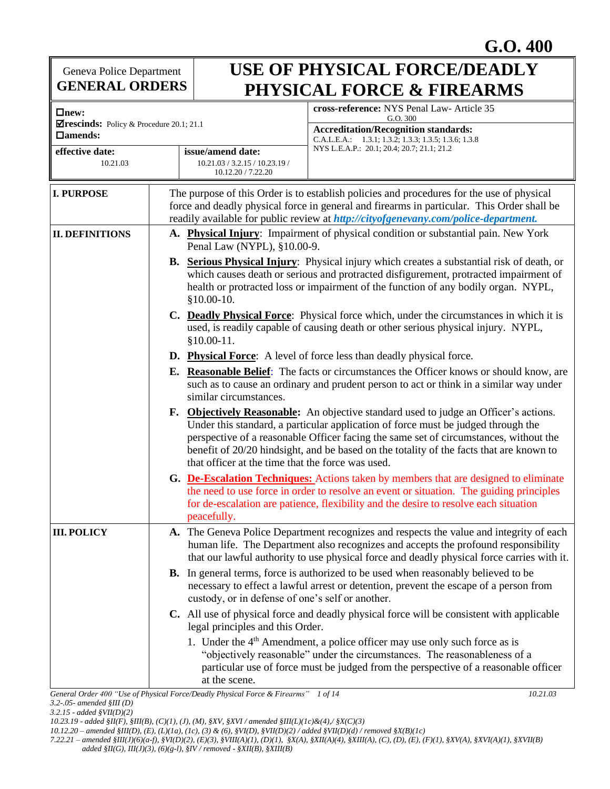**G.O. 400**

Geneva Police Department **GENERAL ORDERS**

## **USE OF PHYSICAL FORCE/DEADLY PHYSICAL FORCE & FIREARMS**

| $\Box$ new:                                                |                                                                                                                                                                                                                                                                                                                                                                                                                                                                                                                                                                                                                                                                                                                                                                                                                                                                                                                                   | cross-reference: NYS Penal Law- Article 35<br>G.O. 300                                                                                                                                                                                                                         |  |  |
|------------------------------------------------------------|-----------------------------------------------------------------------------------------------------------------------------------------------------------------------------------------------------------------------------------------------------------------------------------------------------------------------------------------------------------------------------------------------------------------------------------------------------------------------------------------------------------------------------------------------------------------------------------------------------------------------------------------------------------------------------------------------------------------------------------------------------------------------------------------------------------------------------------------------------------------------------------------------------------------------------------|--------------------------------------------------------------------------------------------------------------------------------------------------------------------------------------------------------------------------------------------------------------------------------|--|--|
| ⊠rescinds: Policy & Procedure 20.1; 21.1<br>$\Box$ amends: |                                                                                                                                                                                                                                                                                                                                                                                                                                                                                                                                                                                                                                                                                                                                                                                                                                                                                                                                   | <b>Accreditation/Recognition standards:</b>                                                                                                                                                                                                                                    |  |  |
| effective date:<br>10.21.03                                | issue/amend date:<br>10.21.03 / 3.2.15 / 10.23.19 /<br>10.12.20 / 7.22.20                                                                                                                                                                                                                                                                                                                                                                                                                                                                                                                                                                                                                                                                                                                                                                                                                                                         | C.A.L.E.A.: 1.3.1; 1.3.2; 1.3.3; 1.3.5; 1.3.6; 1.3.8<br>NYS L.E.A.P.: 20.1; 20.4; 20.7; 21.1; 21.2                                                                                                                                                                             |  |  |
| <b>I. PURPOSE</b>                                          | The purpose of this Order is to establish policies and procedures for the use of physical<br>force and deadly physical force in general and firearms in particular. This Order shall be<br>readily available for public review at http://cityofgenevany.com/police-department.                                                                                                                                                                                                                                                                                                                                                                                                                                                                                                                                                                                                                                                    |                                                                                                                                                                                                                                                                                |  |  |
| <b>II. DEFINITIONS</b>                                     | A. Physical Injury: Impairment of physical condition or substantial pain. New York<br>Penal Law (NYPL), §10.00-9.                                                                                                                                                                                                                                                                                                                                                                                                                                                                                                                                                                                                                                                                                                                                                                                                                 |                                                                                                                                                                                                                                                                                |  |  |
|                                                            | $$10.00-10.$                                                                                                                                                                                                                                                                                                                                                                                                                                                                                                                                                                                                                                                                                                                                                                                                                                                                                                                      | <b>B.</b> Serious Physical Injury: Physical injury which creates a substantial risk of death, or<br>which causes death or serious and protracted disfigurement, protracted impairment of<br>health or protracted loss or impairment of the function of any bodily organ. NYPL, |  |  |
|                                                            | C. Deadly Physical Force: Physical force which, under the circumstances in which it is<br>used, is readily capable of causing death or other serious physical injury. NYPL,<br>$$10.00-11.$                                                                                                                                                                                                                                                                                                                                                                                                                                                                                                                                                                                                                                                                                                                                       |                                                                                                                                                                                                                                                                                |  |  |
|                                                            | <b>D.</b> Physical Force: A level of force less than deadly physical force.                                                                                                                                                                                                                                                                                                                                                                                                                                                                                                                                                                                                                                                                                                                                                                                                                                                       |                                                                                                                                                                                                                                                                                |  |  |
|                                                            | <b>E.</b> Reasonable Belief: The facts or circumstances the Officer knows or should know, are<br>such as to cause an ordinary and prudent person to act or think in a similar way under<br>similar circumstances.<br>F. Objectively Reasonable: An objective standard used to judge an Officer's actions.<br>Under this standard, a particular application of force must be judged through the<br>perspective of a reasonable Officer facing the same set of circumstances, without the<br>benefit of 20/20 hindsight, and be based on the totality of the facts that are known to<br>that officer at the time that the force was used.<br>G. De-Escalation Techniques: Actions taken by members that are designed to eliminate<br>the need to use force in order to resolve an event or situation. The guiding principles<br>for de-escalation are patience, flexibility and the desire to resolve each situation<br>peacefully. |                                                                                                                                                                                                                                                                                |  |  |
|                                                            |                                                                                                                                                                                                                                                                                                                                                                                                                                                                                                                                                                                                                                                                                                                                                                                                                                                                                                                                   |                                                                                                                                                                                                                                                                                |  |  |
|                                                            |                                                                                                                                                                                                                                                                                                                                                                                                                                                                                                                                                                                                                                                                                                                                                                                                                                                                                                                                   |                                                                                                                                                                                                                                                                                |  |  |
| <b>III. POLICY</b>                                         |                                                                                                                                                                                                                                                                                                                                                                                                                                                                                                                                                                                                                                                                                                                                                                                                                                                                                                                                   | A. The Geneva Police Department recognizes and respects the value and integrity of each<br>human life. The Department also recognizes and accepts the profound responsibility<br>that our lawful authority to use physical force and deadly physical force carries with it.    |  |  |
|                                                            | custody, or in defense of one's self or another.                                                                                                                                                                                                                                                                                                                                                                                                                                                                                                                                                                                                                                                                                                                                                                                                                                                                                  | <b>B.</b> In general terms, force is authorized to be used when reasonably believed to be<br>necessary to effect a lawful arrest or detention, prevent the escape of a person from                                                                                             |  |  |
|                                                            | C. All use of physical force and deadly physical force will be consistent with applicable<br>legal principles and this Order.                                                                                                                                                                                                                                                                                                                                                                                                                                                                                                                                                                                                                                                                                                                                                                                                     |                                                                                                                                                                                                                                                                                |  |  |
|                                                            | 1. Under the 4 <sup>th</sup> Amendment, a police officer may use only such force as is<br>"objectively reasonable" under the circumstances. The reasonableness of a<br>particular use of force must be judged from the perspective of a reasonable officer<br>at the scene.                                                                                                                                                                                                                                                                                                                                                                                                                                                                                                                                                                                                                                                       |                                                                                                                                                                                                                                                                                |  |  |
|                                                            | General Order 400 "Use of Physical Force/Deadly Physical Force & Firearms" 1 of 14                                                                                                                                                                                                                                                                                                                                                                                                                                                                                                                                                                                                                                                                                                                                                                                                                                                | 10.21.03                                                                                                                                                                                                                                                                       |  |  |

*3.2-.05- amended §III (D)* 

*3.2.15 - added §VII(D)(2)*

*<sup>10.23.19 -</sup> added §II(F), §III(B), (C)(1), (J), (M), §XV, §XVI / amended §III(L)(1c)&(4),/ §X(C)(3)* 

*<sup>10.12.20 –</sup> amended §III(D), (E), (L)(1a), (1c), (3) & (6), §VI(D), §VII(D)(2) / added §VII(D)(d) / removed §X(B)(1c)*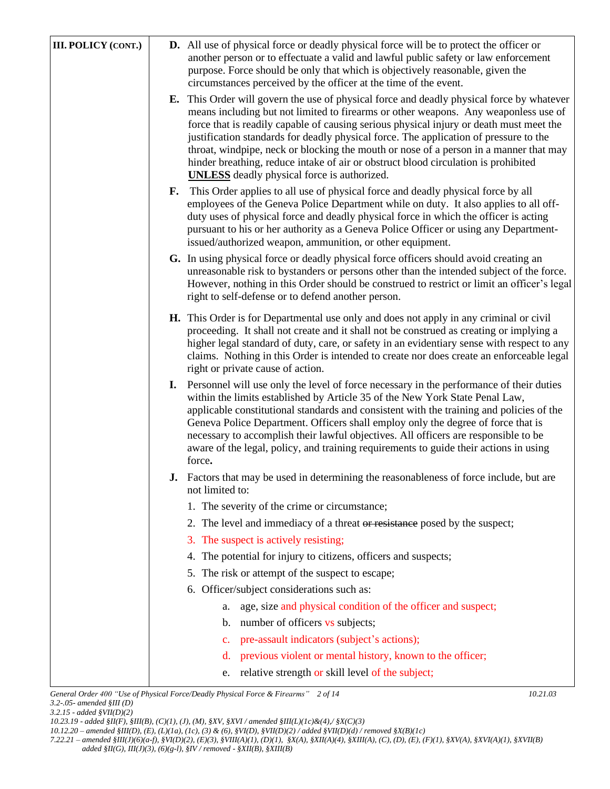| <b>III. POLICY (CONT.)</b> | <b>D.</b> All use of physical force or deadly physical force will be to protect the officer or<br>another person or to effectuate a valid and lawful public safety or law enforcement<br>purpose. Force should be only that which is objectively reasonable, given the<br>circumstances perceived by the officer at the time of the event.                                                                                                                                                                                                                                                                       |
|----------------------------|------------------------------------------------------------------------------------------------------------------------------------------------------------------------------------------------------------------------------------------------------------------------------------------------------------------------------------------------------------------------------------------------------------------------------------------------------------------------------------------------------------------------------------------------------------------------------------------------------------------|
|                            | <b>E.</b> This Order will govern the use of physical force and deadly physical force by whatever<br>means including but not limited to firearms or other weapons. Any weaponless use of<br>force that is readily capable of causing serious physical injury or death must meet the<br>justification standards for deadly physical force. The application of pressure to the<br>throat, windpipe, neck or blocking the mouth or nose of a person in a manner that may<br>hinder breathing, reduce intake of air or obstruct blood circulation is prohibited<br><b>UNLESS</b> deadly physical force is authorized. |
|                            | This Order applies to all use of physical force and deadly physical force by all<br>F.<br>employees of the Geneva Police Department while on duty. It also applies to all off-<br>duty uses of physical force and deadly physical force in which the officer is acting<br>pursuant to his or her authority as a Geneva Police Officer or using any Department-<br>issued/authorized weapon, ammunition, or other equipment.                                                                                                                                                                                      |
|                            | G. In using physical force or deadly physical force officers should avoid creating an<br>unreasonable risk to bystanders or persons other than the intended subject of the force.<br>However, nothing in this Order should be construed to restrict or limit an officer's legal<br>right to self-defense or to defend another person.                                                                                                                                                                                                                                                                            |
|                            | <b>H.</b> This Order is for Departmental use only and does not apply in any criminal or civil<br>proceeding. It shall not create and it shall not be construed as creating or implying a<br>higher legal standard of duty, care, or safety in an evidentiary sense with respect to any<br>claims. Nothing in this Order is intended to create nor does create an enforceable legal<br>right or private cause of action.                                                                                                                                                                                          |
|                            | I. Personnel will use only the level of force necessary in the performance of their duties<br>within the limits established by Article 35 of the New York State Penal Law,<br>applicable constitutional standards and consistent with the training and policies of the<br>Geneva Police Department. Officers shall employ only the degree of force that is<br>necessary to accomplish their lawful objectives. All officers are responsible to be<br>aware of the legal, policy, and training requirements to guide their actions in using<br>force.                                                             |
|                            | <b>J.</b> Factors that may be used in determining the reasonableness of force include, but are<br>not limited to:                                                                                                                                                                                                                                                                                                                                                                                                                                                                                                |
|                            | 1. The severity of the crime or circumstance;                                                                                                                                                                                                                                                                                                                                                                                                                                                                                                                                                                    |
|                            | 2. The level and immediacy of a threat or resistance posed by the suspect;                                                                                                                                                                                                                                                                                                                                                                                                                                                                                                                                       |
|                            | 3. The suspect is actively resisting;                                                                                                                                                                                                                                                                                                                                                                                                                                                                                                                                                                            |
|                            | The potential for injury to citizens, officers and suspects;<br>4.                                                                                                                                                                                                                                                                                                                                                                                                                                                                                                                                               |
|                            | 5. The risk or attempt of the suspect to escape;                                                                                                                                                                                                                                                                                                                                                                                                                                                                                                                                                                 |
|                            | 6. Officer/subject considerations such as:                                                                                                                                                                                                                                                                                                                                                                                                                                                                                                                                                                       |
|                            | age, size and physical condition of the officer and suspect;<br>a.                                                                                                                                                                                                                                                                                                                                                                                                                                                                                                                                               |
|                            | number of officers vs subjects;<br>b.                                                                                                                                                                                                                                                                                                                                                                                                                                                                                                                                                                            |
|                            | pre-assault indicators (subject's actions);<br>$\mathbf{c}$ .                                                                                                                                                                                                                                                                                                                                                                                                                                                                                                                                                    |
|                            | previous violent or mental history, known to the officer;<br>d.<br>relative strength or skill level of the subject;                                                                                                                                                                                                                                                                                                                                                                                                                                                                                              |
|                            | e.                                                                                                                                                                                                                                                                                                                                                                                                                                                                                                                                                                                                               |

*General Order 400 "Use of Physical Force/Deadly Physical Force & Firearms" 2 of 14 10.21.03 3.2-.05- amended §III (D)* 

*3.2.15 - added §VII(D)(2)*

*<sup>10.23.19 -</sup> added §II(F), §III(B), (C)(1), (J), (M), §XV, §XVI / amended §III(L)(1c)&(4),/ §X(C)(3)* 

*<sup>10.12.20 –</sup> amended §III(D), (E), (L)(1a), (1c), (3) & (6), §VI(D), §VII(D)(2) / added §VII(D)(d) / removed §X(B)(1c)*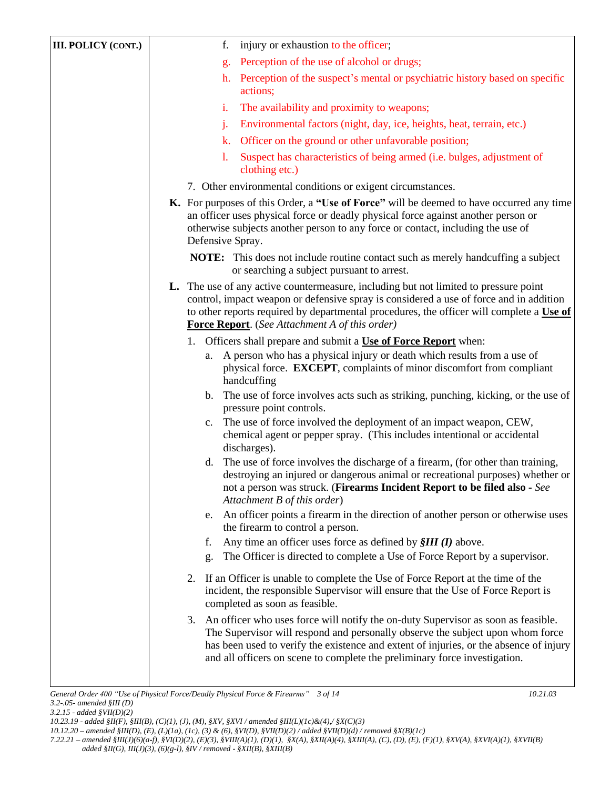| <b>III. POLICY (CONT.)</b> | injury or exhaustion to the officer;<br>f.                                                                                                                                                                                                                                                                                                        |  |  |  |  |
|----------------------------|---------------------------------------------------------------------------------------------------------------------------------------------------------------------------------------------------------------------------------------------------------------------------------------------------------------------------------------------------|--|--|--|--|
|                            | Perception of the use of alcohol or drugs;<br>g.                                                                                                                                                                                                                                                                                                  |  |  |  |  |
|                            | Perception of the suspect's mental or psychiatric history based on specific<br>h.<br>actions;                                                                                                                                                                                                                                                     |  |  |  |  |
|                            | The availability and proximity to weapons;<br>i.                                                                                                                                                                                                                                                                                                  |  |  |  |  |
|                            | Environmental factors (night, day, ice, heights, heat, terrain, etc.)<br>j.                                                                                                                                                                                                                                                                       |  |  |  |  |
|                            | Officer on the ground or other unfavorable position;<br>k.                                                                                                                                                                                                                                                                                        |  |  |  |  |
|                            | Suspect has characteristics of being armed (i.e. bulges, adjustment of<br>1.<br>clothing etc.)                                                                                                                                                                                                                                                    |  |  |  |  |
|                            | 7. Other environmental conditions or exigent circumstances.                                                                                                                                                                                                                                                                                       |  |  |  |  |
|                            | K. For purposes of this Order, a "Use of Force" will be deemed to have occurred any time<br>an officer uses physical force or deadly physical force against another person or<br>otherwise subjects another person to any force or contact, including the use of<br>Defensive Spray.                                                              |  |  |  |  |
|                            | NOTE: This does not include routine contact such as merely handcuffing a subject<br>or searching a subject pursuant to arrest.                                                                                                                                                                                                                    |  |  |  |  |
|                            | <b>L.</b> The use of any active countermeasure, including but not limited to pressure point<br>control, impact weapon or defensive spray is considered a use of force and in addition<br>to other reports required by departmental procedures, the officer will complete a Use of<br>Force Report. (See Attachment A of this order)               |  |  |  |  |
|                            | 1. Officers shall prepare and submit a Use of Force Report when:                                                                                                                                                                                                                                                                                  |  |  |  |  |
|                            | A person who has a physical injury or death which results from a use of<br>a.<br>physical force. EXCEPT, complaints of minor discomfort from compliant<br>handcuffing                                                                                                                                                                             |  |  |  |  |
|                            | The use of force involves acts such as striking, punching, kicking, or the use of<br>b.<br>pressure point controls.                                                                                                                                                                                                                               |  |  |  |  |
|                            | The use of force involved the deployment of an impact weapon, CEW,<br>$c_{\cdot}$<br>chemical agent or pepper spray. (This includes intentional or accidental<br>discharges).                                                                                                                                                                     |  |  |  |  |
|                            | The use of force involves the discharge of a firearm, (for other than training,<br>d.<br>destroying an injured or dangerous animal or recreational purposes) whether or<br>not a person was struck. (Firearms Incident Report to be filed also - See<br>Attachment B of this order)                                                               |  |  |  |  |
|                            | An officer points a firearm in the direction of another person or otherwise uses<br>e.<br>the firearm to control a person.                                                                                                                                                                                                                        |  |  |  |  |
|                            | Any time an officer uses force as defined by $\frac{\mathcal{S}}{\mathcal{S}}$ <i>MI</i> ( <i>I</i> ) above.<br>f.                                                                                                                                                                                                                                |  |  |  |  |
|                            | The Officer is directed to complete a Use of Force Report by a supervisor.<br>g.                                                                                                                                                                                                                                                                  |  |  |  |  |
|                            | If an Officer is unable to complete the Use of Force Report at the time of the<br>2.<br>incident, the responsible Supervisor will ensure that the Use of Force Report is<br>completed as soon as feasible.                                                                                                                                        |  |  |  |  |
|                            | An officer who uses force will notify the on-duty Supervisor as soon as feasible.<br>3.<br>The Supervisor will respond and personally observe the subject upon whom force<br>has been used to verify the existence and extent of injuries, or the absence of injury<br>and all officers on scene to complete the preliminary force investigation. |  |  |  |  |
|                            |                                                                                                                                                                                                                                                                                                                                                   |  |  |  |  |

*7.22.21 – amended §III(J)(6)(a-f), §VI(D)(2), (E)(3), §VIII(A)(1), (D)(1), §X(A), §XII(A)(4), §XIII(A), (C), (D), (E), (F)(1), §XV(A), §XVI(A)(1), §XVII(B)* 

 *added §II(G), III(J)(3), (6)(g-l), §IV / removed - §XII(B), §XIII(B)* 

*<sup>3.2.15 -</sup> added §VII(D)(2)*

*<sup>10.23.19 -</sup> added §II(F), §III(B), (C)(1), (J), (M), §XV, §XVI / amended §III(L)(1c)&(4),/ §X(C)(3) 10.12.20 – amended §III(D), (E), (L)(1a), (1c), (3) & (6), §VI(D), §VII(D)(2) / added §VII(D)(d) / removed §X(B)(1c)*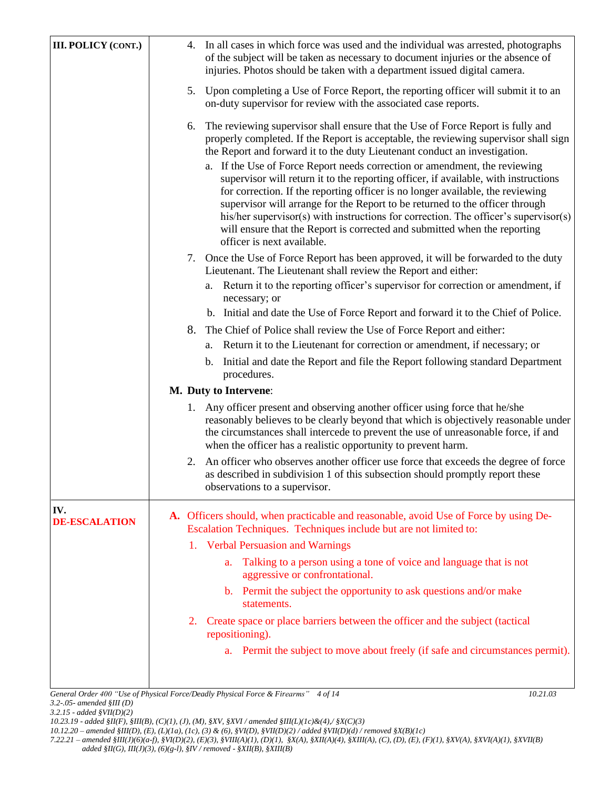| <b>III. POLICY (CONT.)</b>  | 4. In all cases in which force was used and the individual was arrested, photographs<br>of the subject will be taken as necessary to document injuries or the absence of<br>injuries. Photos should be taken with a department issued digital camera.                                                                                                                                                                                                                                                                                                                                                                                                                                                                                                                                                |  |  |  |  |
|-----------------------------|------------------------------------------------------------------------------------------------------------------------------------------------------------------------------------------------------------------------------------------------------------------------------------------------------------------------------------------------------------------------------------------------------------------------------------------------------------------------------------------------------------------------------------------------------------------------------------------------------------------------------------------------------------------------------------------------------------------------------------------------------------------------------------------------------|--|--|--|--|
|                             | 5. Upon completing a Use of Force Report, the reporting officer will submit it to an<br>on-duty supervisor for review with the associated case reports.                                                                                                                                                                                                                                                                                                                                                                                                                                                                                                                                                                                                                                              |  |  |  |  |
|                             | The reviewing supervisor shall ensure that the Use of Force Report is fully and<br>6.<br>properly completed. If the Report is acceptable, the reviewing supervisor shall sign<br>the Report and forward it to the duty Lieutenant conduct an investigation.<br>a. If the Use of Force Report needs correction or amendment, the reviewing<br>supervisor will return it to the reporting officer, if available, with instructions<br>for correction. If the reporting officer is no longer available, the reviewing<br>supervisor will arrange for the Report to be returned to the officer through<br>his/her supervisor(s) with instructions for correction. The officer's supervisor(s)<br>will ensure that the Report is corrected and submitted when the reporting<br>officer is next available. |  |  |  |  |
|                             | 7. Once the Use of Force Report has been approved, it will be forwarded to the duty<br>Lieutenant. The Lieutenant shall review the Report and either:                                                                                                                                                                                                                                                                                                                                                                                                                                                                                                                                                                                                                                                |  |  |  |  |
|                             | a. Return it to the reporting officer's supervisor for correction or amendment, if<br>necessary; or                                                                                                                                                                                                                                                                                                                                                                                                                                                                                                                                                                                                                                                                                                  |  |  |  |  |
|                             | b. Initial and date the Use of Force Report and forward it to the Chief of Police.                                                                                                                                                                                                                                                                                                                                                                                                                                                                                                                                                                                                                                                                                                                   |  |  |  |  |
|                             | The Chief of Police shall review the Use of Force Report and either:<br>8.                                                                                                                                                                                                                                                                                                                                                                                                                                                                                                                                                                                                                                                                                                                           |  |  |  |  |
|                             | Return it to the Lieutenant for correction or amendment, if necessary; or<br>a.                                                                                                                                                                                                                                                                                                                                                                                                                                                                                                                                                                                                                                                                                                                      |  |  |  |  |
|                             | Initial and date the Report and file the Report following standard Department<br>b.<br>procedures.                                                                                                                                                                                                                                                                                                                                                                                                                                                                                                                                                                                                                                                                                                   |  |  |  |  |
|                             | M. Duty to Intervene:                                                                                                                                                                                                                                                                                                                                                                                                                                                                                                                                                                                                                                                                                                                                                                                |  |  |  |  |
|                             | 1. Any officer present and observing another officer using force that he/she<br>reasonably believes to be clearly beyond that which is objectively reasonable under<br>the circumstances shall intercede to prevent the use of unreasonable force, if and<br>when the officer has a realistic opportunity to prevent harm.                                                                                                                                                                                                                                                                                                                                                                                                                                                                           |  |  |  |  |
|                             | An officer who observes another officer use force that exceeds the degree of force<br>2.<br>as described in subdivision 1 of this subsection should promptly report these<br>observations to a supervisor.                                                                                                                                                                                                                                                                                                                                                                                                                                                                                                                                                                                           |  |  |  |  |
| IV.<br><b>DE-ESCALATION</b> | A. Officers should, when practicable and reasonable, avoid Use of Force by using De-<br>Escalation Techniques. Techniques include but are not limited to:                                                                                                                                                                                                                                                                                                                                                                                                                                                                                                                                                                                                                                            |  |  |  |  |
|                             | 1. Verbal Persuasion and Warnings                                                                                                                                                                                                                                                                                                                                                                                                                                                                                                                                                                                                                                                                                                                                                                    |  |  |  |  |
|                             | Talking to a person using a tone of voice and language that is not<br>a.<br>aggressive or confrontational.                                                                                                                                                                                                                                                                                                                                                                                                                                                                                                                                                                                                                                                                                           |  |  |  |  |
|                             | b. Permit the subject the opportunity to ask questions and/or make<br>statements.                                                                                                                                                                                                                                                                                                                                                                                                                                                                                                                                                                                                                                                                                                                    |  |  |  |  |
|                             | Create space or place barriers between the officer and the subject (tactical<br>2.<br>repositioning).                                                                                                                                                                                                                                                                                                                                                                                                                                                                                                                                                                                                                                                                                                |  |  |  |  |
|                             | a. Permit the subject to move about freely (if safe and circumstances permit).                                                                                                                                                                                                                                                                                                                                                                                                                                                                                                                                                                                                                                                                                                                       |  |  |  |  |
|                             |                                                                                                                                                                                                                                                                                                                                                                                                                                                                                                                                                                                                                                                                                                                                                                                                      |  |  |  |  |
|                             | General Order 400 "Use of Physical Force/Deadly Physical Force & Firearms" 4 of 14<br>10.21.03                                                                                                                                                                                                                                                                                                                                                                                                                                                                                                                                                                                                                                                                                                       |  |  |  |  |

*3.2-.05- amended §III (D)* 

*3.2.15 - added §VII(D)(2)*

*10.12.20 – amended §III(D), (E), (L)(1a), (1c), (3) & (6), §VI(D), §VII(D)(2) / added §VII(D)(d) / removed §X(B)(1c)*

*<sup>10.23.19 -</sup> added §II(F), §III(B), (C)(1), (J), (M), §XV, §XVI / amended §III(L)(1c)&(4),/ §X(C)(3)*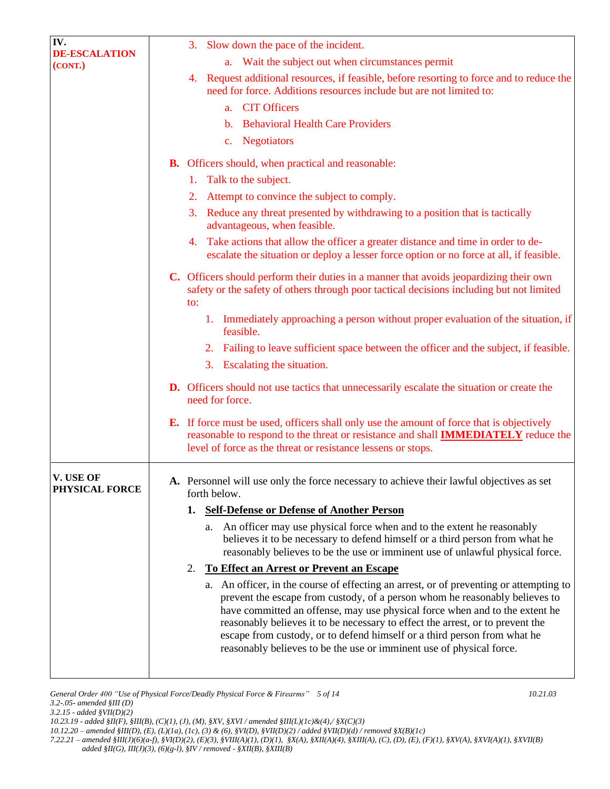| IV.                             | 3. Slow down the pace of the incident.                                                                                                                                                                                                                                                                                                                                                                                                                                                     |
|---------------------------------|--------------------------------------------------------------------------------------------------------------------------------------------------------------------------------------------------------------------------------------------------------------------------------------------------------------------------------------------------------------------------------------------------------------------------------------------------------------------------------------------|
| <b>DE-ESCALATION</b><br>(CONT.) | Wait the subject out when circumstances permit<br>a.                                                                                                                                                                                                                                                                                                                                                                                                                                       |
|                                 | 4. Request additional resources, if feasible, before resorting to force and to reduce the<br>need for force. Additions resources include but are not limited to:                                                                                                                                                                                                                                                                                                                           |
|                                 | a. CIT Officers                                                                                                                                                                                                                                                                                                                                                                                                                                                                            |
|                                 | b. Behavioral Health Care Providers                                                                                                                                                                                                                                                                                                                                                                                                                                                        |
|                                 | c. Negotiators                                                                                                                                                                                                                                                                                                                                                                                                                                                                             |
|                                 | <b>B.</b> Officers should, when practical and reasonable:                                                                                                                                                                                                                                                                                                                                                                                                                                  |
|                                 | 1. Talk to the subject.                                                                                                                                                                                                                                                                                                                                                                                                                                                                    |
|                                 | Attempt to convince the subject to comply.<br>2.                                                                                                                                                                                                                                                                                                                                                                                                                                           |
|                                 | 3.<br>Reduce any threat presented by withdrawing to a position that is tactically<br>advantageous, when feasible.                                                                                                                                                                                                                                                                                                                                                                          |
|                                 | Take actions that allow the officer a greater distance and time in order to de-<br>4.<br>escalate the situation or deploy a lesser force option or no force at all, if feasible.                                                                                                                                                                                                                                                                                                           |
|                                 | C. Officers should perform their duties in a manner that avoids jeopardizing their own<br>safety or the safety of others through poor tactical decisions including but not limited<br>to:                                                                                                                                                                                                                                                                                                  |
|                                 | 1. Immediately approaching a person without proper evaluation of the situation, if<br>feasible.                                                                                                                                                                                                                                                                                                                                                                                            |
|                                 | Failing to leave sufficient space between the officer and the subject, if feasible.<br>2.                                                                                                                                                                                                                                                                                                                                                                                                  |
|                                 | Escalating the situation.<br>3.                                                                                                                                                                                                                                                                                                                                                                                                                                                            |
|                                 | <b>D.</b> Officers should not use tactics that unnecessarily escalate the situation or create the<br>need for force.                                                                                                                                                                                                                                                                                                                                                                       |
|                                 | <b>E.</b> If force must be used, officers shall only use the amount of force that is objectively<br>reasonable to respond to the threat or resistance and shall <b>IMMEDIATELY</b> reduce the<br>level of force as the threat or resistance lessens or stops.                                                                                                                                                                                                                              |
| V. USE OF<br>PHYSICAL FORCE     | A. Personnel will use only the force necessary to achieve their lawful objectives as set<br>forth below.                                                                                                                                                                                                                                                                                                                                                                                   |
|                                 | 1. Self-Defense or Defense of Another Person                                                                                                                                                                                                                                                                                                                                                                                                                                               |
|                                 | An officer may use physical force when and to the extent he reasonably<br>a.<br>believes it to be necessary to defend himself or a third person from what he<br>reasonably believes to be the use or imminent use of unlawful physical force.                                                                                                                                                                                                                                              |
|                                 | <b>To Effect an Arrest or Prevent an Escape</b><br>2.                                                                                                                                                                                                                                                                                                                                                                                                                                      |
|                                 | a. An officer, in the course of effecting an arrest, or of preventing or attempting to<br>prevent the escape from custody, of a person whom he reasonably believes to<br>have committed an offense, may use physical force when and to the extent he<br>reasonably believes it to be necessary to effect the arrest, or to prevent the<br>escape from custody, or to defend himself or a third person from what he<br>reasonably believes to be the use or imminent use of physical force. |
|                                 |                                                                                                                                                                                                                                                                                                                                                                                                                                                                                            |

*<sup>10.12.20 –</sup> amended §III(D), (E), (L)(1a), (1c), (3) & (6), §VI(D), §VII(D)(2) / added §VII(D)(d) / removed §X(B)(1c) 7.22.21 – amended §III(J)(6)(a-f), §VI(D)(2), (E)(3), §VIII(A)(1), (D)(1), §X(A), §XII(A)(4), §XIII(A), (C), (D), (E), (F)(1), §XV(A), §XVI(A)(1), §XVII(B) added §II(G), III(J)(3), (6)(g-l), §IV / removed - §XII(B), §XIII(B)*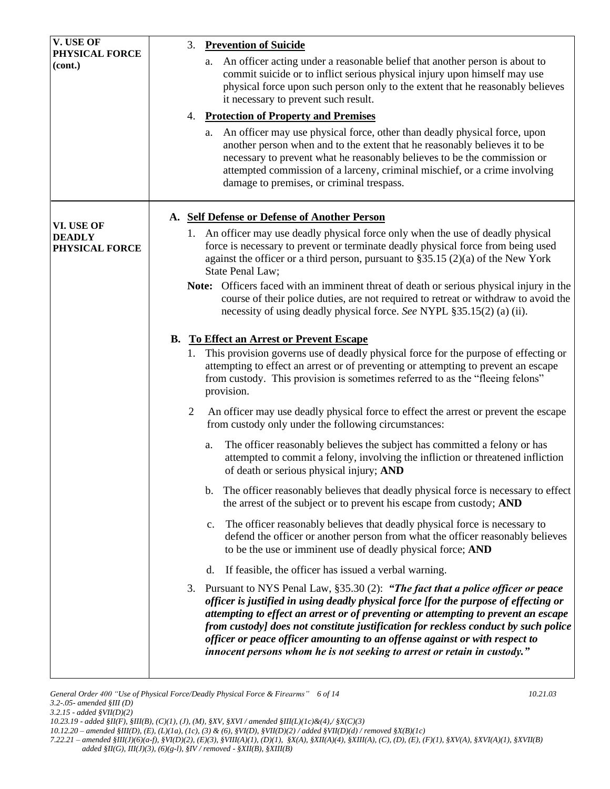|                | An officer acting under a reasonable belief that another person is about to<br>a.<br>commit suicide or to inflict serious physical injury upon himself may use<br>physical force upon such person only to the extent that he reasonably believes<br>it necessary to prevent such result.                                                                                                                                                                                                                        |
|----------------|-----------------------------------------------------------------------------------------------------------------------------------------------------------------------------------------------------------------------------------------------------------------------------------------------------------------------------------------------------------------------------------------------------------------------------------------------------------------------------------------------------------------|
| 4.             | <b>Protection of Property and Premises</b>                                                                                                                                                                                                                                                                                                                                                                                                                                                                      |
|                | An officer may use physical force, other than deadly physical force, upon<br>a.<br>another person when and to the extent that he reasonably believes it to be<br>necessary to prevent what he reasonably believes to be the commission or<br>attempted commission of a larceny, criminal mischief, or a crime involving<br>damage to premises, or criminal trespass.                                                                                                                                            |
|                | A. Self Defense or Defense of Another Person                                                                                                                                                                                                                                                                                                                                                                                                                                                                    |
|                | 1. An officer may use deadly physical force only when the use of deadly physical<br>force is necessary to prevent or terminate deadly physical force from being used<br>against the officer or a third person, pursuant to $\S 35.15(2)(a)$ of the New York<br>State Penal Law;                                                                                                                                                                                                                                 |
|                | Note: Officers faced with an imminent threat of death or serious physical injury in the<br>course of their police duties, are not required to retreat or withdraw to avoid the<br>necessity of using deadly physical force. See NYPL §35.15(2) (a) (ii).                                                                                                                                                                                                                                                        |
| <b>B.</b>      | <b>To Effect an Arrest or Prevent Escape</b>                                                                                                                                                                                                                                                                                                                                                                                                                                                                    |
| 1.             | This provision governs use of deadly physical force for the purpose of effecting or<br>attempting to effect an arrest or of preventing or attempting to prevent an escape<br>from custody. This provision is sometimes referred to as the "fleeing felons"<br>provision.                                                                                                                                                                                                                                        |
| $\overline{2}$ | An officer may use deadly physical force to effect the arrest or prevent the escape<br>from custody only under the following circumstances:                                                                                                                                                                                                                                                                                                                                                                     |
|                | The officer reasonably believes the subject has committed a felony or has<br>a.<br>attempted to commit a felony, involving the infliction or threatened infliction<br>of death or serious physical injury; AND                                                                                                                                                                                                                                                                                                  |
|                | The officer reasonably believes that deadly physical force is necessary to effect<br>b.<br>the arrest of the subject or to prevent his escape from custody; AND                                                                                                                                                                                                                                                                                                                                                 |
|                | The officer reasonably believes that deadly physical force is necessary to<br>c.<br>defend the officer or another person from what the officer reasonably believes<br>to be the use or imminent use of deadly physical force; AND                                                                                                                                                                                                                                                                               |
|                | If feasible, the officer has issued a verbal warning.<br>d.                                                                                                                                                                                                                                                                                                                                                                                                                                                     |
| 3.             | Pursuant to NYS Penal Law, §35.30 (2): "The fact that a police officer or peace<br>officer is justified in using deadly physical force [for the purpose of effecting or<br>attempting to effect an arrest or of preventing or attempting to prevent an escape<br>from custody] does not constitute justification for reckless conduct by such police<br>officer or peace officer amounting to an offense against or with respect to<br>innocent persons whom he is not seeking to arrest or retain in custody." |
|                |                                                                                                                                                                                                                                                                                                                                                                                                                                                                                                                 |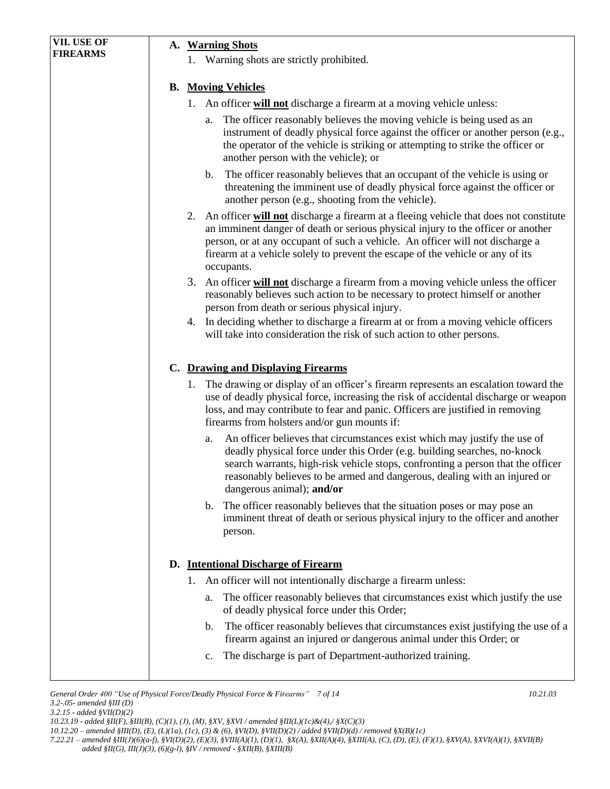| VII. USE OF     | A. Warning Shots<br>1. Warning shots are strictly prohibited.                                                                                                                                                                                                                                                                                                 |  |  |  |  |
|-----------------|---------------------------------------------------------------------------------------------------------------------------------------------------------------------------------------------------------------------------------------------------------------------------------------------------------------------------------------------------------------|--|--|--|--|
| <b>FIREARMS</b> |                                                                                                                                                                                                                                                                                                                                                               |  |  |  |  |
|                 |                                                                                                                                                                                                                                                                                                                                                               |  |  |  |  |
|                 | <b>B.</b> Moving Vehicles                                                                                                                                                                                                                                                                                                                                     |  |  |  |  |
|                 | 1. An officer will not discharge a firearm at a moving vehicle unless:                                                                                                                                                                                                                                                                                        |  |  |  |  |
|                 | The officer reasonably believes the moving vehicle is being used as an<br>a.<br>instrument of deadly physical force against the officer or another person (e.g.,<br>the operator of the vehicle is striking or attempting to strike the officer or<br>another person with the vehicle); or                                                                    |  |  |  |  |
|                 | The officer reasonably believes that an occupant of the vehicle is using or<br>$\mathbf{b}$ .<br>threatening the imminent use of deadly physical force against the officer or<br>another person (e.g., shooting from the vehicle).                                                                                                                            |  |  |  |  |
|                 | 2. An officer will not discharge a firearm at a fleeing vehicle that does not constitute<br>an imminent danger of death or serious physical injury to the officer or another<br>person, or at any occupant of such a vehicle. An officer will not discharge a<br>firearm at a vehicle solely to prevent the escape of the vehicle or any of its<br>occupants. |  |  |  |  |
|                 | 3. An officer will not discharge a firearm from a moving vehicle unless the officer<br>reasonably believes such action to be necessary to protect himself or another<br>person from death or serious physical injury.                                                                                                                                         |  |  |  |  |
|                 | 4. In deciding whether to discharge a firearm at or from a moving vehicle officers<br>will take into consideration the risk of such action to other persons.                                                                                                                                                                                                  |  |  |  |  |
|                 | C. Drawing and Displaying Firearms                                                                                                                                                                                                                                                                                                                            |  |  |  |  |
|                 | 1. The drawing or display of an officer's firearm represents an escalation toward the<br>use of deadly physical force, increasing the risk of accidental discharge or weapon<br>loss, and may contribute to fear and panic. Officers are justified in removing<br>firearms from holsters and/or gun mounts if:                                                |  |  |  |  |
|                 | An officer believes that circumstances exist which may justify the use of<br>a.<br>deadly physical force under this Order (e.g. building searches, no-knock<br>search warrants, high-risk vehicle stops, confronting a person that the officer<br>reasonably believes to be armed and dangerous, dealing with an injured or<br>dangerous animal); and/or      |  |  |  |  |
|                 | The officer reasonably believes that the situation poses or may pose an<br>$\mathbf{b}$ .<br>imminent threat of death or serious physical injury to the officer and another<br>person.                                                                                                                                                                        |  |  |  |  |
|                 | D. Intentional Discharge of Firearm                                                                                                                                                                                                                                                                                                                           |  |  |  |  |
|                 | An officer will not intentionally discharge a firearm unless:<br>1.                                                                                                                                                                                                                                                                                           |  |  |  |  |
|                 | The officer reasonably believes that circumstances exist which justify the use<br>a.<br>of deadly physical force under this Order;                                                                                                                                                                                                                            |  |  |  |  |
|                 | The officer reasonably believes that circumstances exist justifying the use of a<br>b.<br>firearm against an injured or dangerous animal under this Order; or                                                                                                                                                                                                 |  |  |  |  |
|                 | The discharge is part of Department-authorized training.<br>$\mathbf{c}$ .                                                                                                                                                                                                                                                                                    |  |  |  |  |
|                 |                                                                                                                                                                                                                                                                                                                                                               |  |  |  |  |

*10.23.19 - added §II(F), §III(B), (C)(1), (J), (M), §XV, §XVI / amended §III(L)(1c)&(4),/ §X(C)(3)* 

*<sup>10.12.20 –</sup> amended §III(D), (E), (L)(1a), (1c), (3) & (6), §VI(D), §VII(D)(2) / added §VII(D)(d) / removed §X(B)(1c)*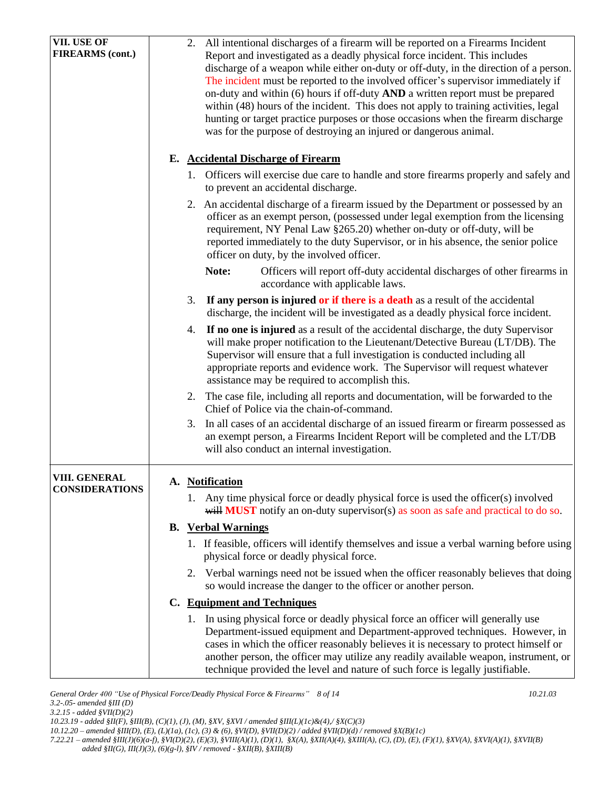| VII. USE OF                                   | All intentional discharges of a firearm will be reported on a Firearms Incident<br>2.                                                                                 |
|-----------------------------------------------|-----------------------------------------------------------------------------------------------------------------------------------------------------------------------|
| <b>FIREARMS</b> (cont.)                       | Report and investigated as a deadly physical force incident. This includes<br>discharge of a weapon while either on-duty or off-duty, in the direction of a person.   |
|                                               | The incident must be reported to the involved officer's supervisor immediately if                                                                                     |
|                                               | on-duty and within (6) hours if off-duty AND a written report must be prepared                                                                                        |
|                                               | within (48) hours of the incident. This does not apply to training activities, legal                                                                                  |
|                                               | hunting or target practice purposes or those occasions when the firearm discharge                                                                                     |
|                                               | was for the purpose of destroying an injured or dangerous animal.                                                                                                     |
|                                               | E. Accidental Discharge of Firearm                                                                                                                                    |
|                                               | 1. Officers will exercise due care to handle and store firearms properly and safely and                                                                               |
|                                               | to prevent an accidental discharge.                                                                                                                                   |
|                                               | 2. An accidental discharge of a firearm issued by the Department or possessed by an                                                                                   |
|                                               | officer as an exempt person, (possessed under legal exemption from the licensing                                                                                      |
|                                               | requirement, NY Penal Law §265.20) whether on-duty or off-duty, will be<br>reported immediately to the duty Supervisor, or in his absence, the senior police          |
|                                               | officer on duty, by the involved officer.                                                                                                                             |
|                                               | Note:<br>Officers will report off-duty accidental discharges of other firearms in                                                                                     |
|                                               | accordance with applicable laws.                                                                                                                                      |
|                                               | If any person is injured or if there is a death as a result of the accidental<br>3.                                                                                   |
|                                               | discharge, the incident will be investigated as a deadly physical force incident.                                                                                     |
|                                               | If no one is injured as a result of the accidental discharge, the duty Supervisor<br>4.                                                                               |
|                                               | will make proper notification to the Lieutenant/Detective Bureau (LT/DB). The<br>Supervisor will ensure that a full investigation is conducted including all          |
|                                               | appropriate reports and evidence work. The Supervisor will request whatever                                                                                           |
|                                               | assistance may be required to accomplish this.                                                                                                                        |
|                                               | The case file, including all reports and documentation, will be forwarded to the<br>2.                                                                                |
|                                               | Chief of Police via the chain-of-command.                                                                                                                             |
|                                               | In all cases of an accidental discharge of an issued firearm or firearm possessed as<br>3.                                                                            |
|                                               | an exempt person, a Firearms Incident Report will be completed and the LT/DB                                                                                          |
|                                               | will also conduct an internal investigation.                                                                                                                          |
| <b>VIII. GENERAL</b><br><b>CONSIDERATIONS</b> | A. Notification                                                                                                                                                       |
|                                               | 1. Any time physical force or deadly physical force is used the officer(s) involved                                                                                   |
|                                               | will <b>MUST</b> notify an on-duty supervisor(s) as soon as safe and practical to do so.                                                                              |
|                                               | <b>B.</b> Verbal Warnings                                                                                                                                             |
|                                               | 1. If feasible, officers will identify themselves and issue a verbal warning before using                                                                             |
|                                               | physical force or deadly physical force.                                                                                                                              |
|                                               | 2. Verbal warnings need not be issued when the officer reasonably believes that doing<br>so would increase the danger to the officer or another person.               |
|                                               | C. Equipment and Techniques                                                                                                                                           |
|                                               | 1. In using physical force or deadly physical force an officer will generally use                                                                                     |
|                                               | Department-issued equipment and Department-approved techniques. However, in                                                                                           |
|                                               | cases in which the officer reasonably believes it is necessary to protect himself or                                                                                  |
|                                               | another person, the officer may utilize any readily available weapon, instrument, or<br>technique provided the level and nature of such force is legally justifiable. |
|                                               |                                                                                                                                                                       |

*General Order 400 "Use of Physical Force/Deadly Physical Force & Firearms" 8 of 14 10.21.03 3.2-.05- amended §III (D) 3.2.15 - added §VII(D)(2)*

*10.12.20 – amended §III(D), (E), (L)(1a), (1c), (3) & (6), §VI(D), §VII(D)(2) / added §VII(D)(d) / removed §X(B)(1c)*

*<sup>10.23.19 -</sup> added §II(F), §III(B), (C)(1), (J), (M), §XV, §XVI / amended §III(L)(1c)&(4),/ §X(C)(3)*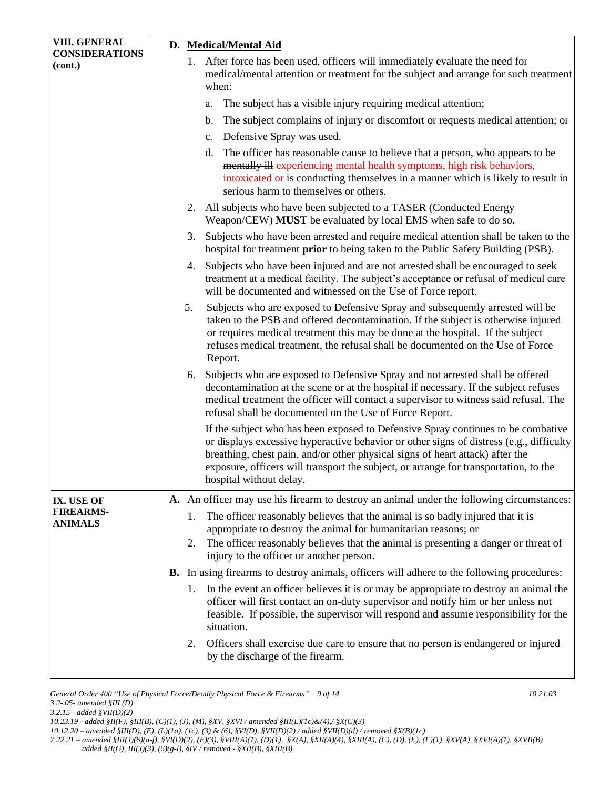| VIII. GENERAL                      | D. Medical/Mental Aid                                                                                                                                                                                                                                                                                                                                                           |  |  |  |
|------------------------------------|---------------------------------------------------------------------------------------------------------------------------------------------------------------------------------------------------------------------------------------------------------------------------------------------------------------------------------------------------------------------------------|--|--|--|
| <b>CONSIDERATIONS</b><br>(cont.)   | 1. After force has been used, officers will immediately evaluate the need for<br>medical/mental attention or treatment for the subject and arrange for such treatment<br>when:                                                                                                                                                                                                  |  |  |  |
|                                    | The subject has a visible injury requiring medical attention;<br>a.                                                                                                                                                                                                                                                                                                             |  |  |  |
|                                    | The subject complains of injury or discomfort or requests medical attention; or<br>b.                                                                                                                                                                                                                                                                                           |  |  |  |
|                                    | Defensive Spray was used.<br>c.                                                                                                                                                                                                                                                                                                                                                 |  |  |  |
|                                    | The officer has reasonable cause to believe that a person, who appears to be<br>d.<br>mentally ill experiencing mental health symptoms, high risk behaviors,<br>intoxicated or is conducting themselves in a manner which is likely to result in<br>serious harm to themselves or others.                                                                                       |  |  |  |
|                                    | 2. All subjects who have been subjected to a TASER (Conducted Energy<br>Weapon/CEW) MUST be evaluated by local EMS when safe to do so.                                                                                                                                                                                                                                          |  |  |  |
|                                    | Subjects who have been arrested and require medical attention shall be taken to the<br>3.<br>hospital for treatment <b>prior</b> to being taken to the Public Safety Building (PSB).                                                                                                                                                                                            |  |  |  |
|                                    | 4. Subjects who have been injured and are not arrested shall be encouraged to seek<br>treatment at a medical facility. The subject's acceptance or refusal of medical care<br>will be documented and witnessed on the Use of Force report.                                                                                                                                      |  |  |  |
|                                    | Subjects who are exposed to Defensive Spray and subsequently arrested will be<br>5.<br>taken to the PSB and offered decontamination. If the subject is otherwise injured<br>or requires medical treatment this may be done at the hospital. If the subject<br>refuses medical treatment, the refusal shall be documented on the Use of Force<br>Report.                         |  |  |  |
|                                    | Subjects who are exposed to Defensive Spray and not arrested shall be offered<br>6.<br>decontamination at the scene or at the hospital if necessary. If the subject refuses<br>medical treatment the officer will contact a supervisor to witness said refusal. The<br>refusal shall be documented on the Use of Force Report.                                                  |  |  |  |
|                                    | If the subject who has been exposed to Defensive Spray continues to be combative<br>or displays excessive hyperactive behavior or other signs of distress (e.g., difficulty<br>breathing, chest pain, and/or other physical signs of heart attack) after the<br>exposure, officers will transport the subject, or arrange for transportation, to the<br>hospital without delay. |  |  |  |
| IX. USE OF                         | A. An officer may use his firearm to destroy an animal under the following circumstances:                                                                                                                                                                                                                                                                                       |  |  |  |
| <b>FIREARMS-</b><br><b>ANIMALS</b> | The officer reasonably believes that the animal is so badly injured that it is<br>1.<br>appropriate to destroy the animal for humanitarian reasons; or                                                                                                                                                                                                                          |  |  |  |
|                                    | The officer reasonably believes that the animal is presenting a danger or threat of<br>2.<br>injury to the officer or another person.                                                                                                                                                                                                                                           |  |  |  |
|                                    | <b>B.</b> In using firearms to destroy animals, officers will adhere to the following procedures:                                                                                                                                                                                                                                                                               |  |  |  |
|                                    | In the event an officer believes it is or may be appropriate to destroy an animal the<br>1.<br>officer will first contact an on-duty supervisor and notify him or her unless not<br>feasible. If possible, the supervisor will respond and assume responsibility for the<br>situation.                                                                                          |  |  |  |
|                                    | Officers shall exercise due care to ensure that no person is endangered or injured<br>2.<br>by the discharge of the firearm.                                                                                                                                                                                                                                                    |  |  |  |

*General Order 400 "Use of Physical Force/Deadly Physical Force & Firearms" 9 of 14 10.21.03 3.2-.05- amended §III (D) 3.2.15 - added §VII(D)(2)*

*10.23.19 - added §II(F), §III(B), (C)(1), (J), (M), §XV, §XVI / amended §III(L)(1c)&(4),/ §X(C)(3)* 

*<sup>10.12.20 –</sup> amended §III(D), (E), (L)(1a), (1c), (3) & (6), §VI(D), §VII(D)(2) / added §VII(D)(d) / removed §X(B)(1c)*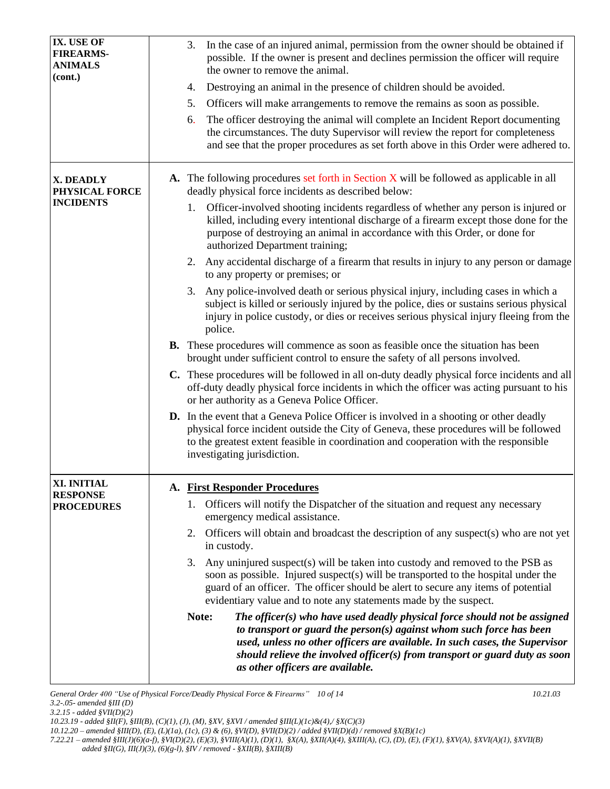| IX. USE OF<br><b>FIREARMS-</b><br><b>ANIMALS</b><br>(cont.) | In the case of an injured animal, permission from the owner should be obtained if<br>3.<br>possible. If the owner is present and declines permission the officer will require<br>the owner to remove the animal.                                                                                                                                                |
|-------------------------------------------------------------|-----------------------------------------------------------------------------------------------------------------------------------------------------------------------------------------------------------------------------------------------------------------------------------------------------------------------------------------------------------------|
|                                                             | Destroying an animal in the presence of children should be avoided.<br>4.                                                                                                                                                                                                                                                                                       |
|                                                             | 5.<br>Officers will make arrangements to remove the remains as soon as possible.                                                                                                                                                                                                                                                                                |
|                                                             | The officer destroying the animal will complete an Incident Report documenting<br>6.<br>the circumstances. The duty Supervisor will review the report for completeness<br>and see that the proper procedures as set forth above in this Order were adhered to.                                                                                                  |
| X. DEADLY<br>PHYSICAL FORCE                                 | <b>A.</b> The following procedures set forth in Section X will be followed as applicable in all<br>deadly physical force incidents as described below:                                                                                                                                                                                                          |
| <b>INCIDENTS</b>                                            | Officer-involved shooting incidents regardless of whether any person is injured or<br>1.<br>killed, including every intentional discharge of a firearm except those done for the<br>purpose of destroying an animal in accordance with this Order, or done for<br>authorized Department training;                                                               |
|                                                             | 2. Any accidental discharge of a firearm that results in injury to any person or damage<br>to any property or premises; or                                                                                                                                                                                                                                      |
|                                                             | Any police-involved death or serious physical injury, including cases in which a<br>3.<br>subject is killed or seriously injured by the police, dies or sustains serious physical<br>injury in police custody, or dies or receives serious physical injury fleeing from the<br>police.                                                                          |
|                                                             | <b>B.</b> These procedures will commence as soon as feasible once the situation has been<br>brought under sufficient control to ensure the safety of all persons involved.                                                                                                                                                                                      |
|                                                             | C. These procedures will be followed in all on-duty deadly physical force incidents and all<br>off-duty deadly physical force incidents in which the officer was acting pursuant to his<br>or her authority as a Geneva Police Officer.                                                                                                                         |
|                                                             | <b>D.</b> In the event that a Geneva Police Officer is involved in a shooting or other deadly<br>physical force incident outside the City of Geneva, these procedures will be followed<br>to the greatest extent feasible in coordination and cooperation with the responsible<br>investigating jurisdiction.                                                   |
| XI. INITIAL                                                 | A. First Responder Procedures                                                                                                                                                                                                                                                                                                                                   |
| <b>RESPONSE</b><br><b>PROCEDURES</b>                        | Officers will notify the Dispatcher of the situation and request any necessary<br>1.<br>emergency medical assistance.                                                                                                                                                                                                                                           |
|                                                             | 2. Officers will obtain and broadcast the description of any suspect(s) who are not yet<br>in custody.                                                                                                                                                                                                                                                          |
|                                                             | Any uninjured suspect(s) will be taken into custody and removed to the PSB as<br>3.<br>soon as possible. Injured suspect(s) will be transported to the hospital under the<br>guard of an officer. The officer should be alert to secure any items of potential<br>evidentiary value and to note any statements made by the suspect.                             |
|                                                             | Note:<br>The officer(s) who have used deadly physical force should not be assigned<br>to transport or guard the person $(s)$ against whom such force has been<br>used, unless no other officers are available. In such cases, the Supervisor<br>should relieve the involved officer(s) from transport or guard duty as soon<br>as other officers are available. |

*General Order 400 "Use of Physical Force/Deadly Physical Force & Firearms" 10 of 14 10.21.03 3.2-.05- amended §III (D)* 

*3.2.15 - added §VII(D)(2)*

*<sup>10.23.19 -</sup> added §II(F), §III(B), (C)(1), (J), (M), §XV, §XVI / amended §III(L)(1c)&(4),/ §X(C)(3)* 

*<sup>10.12.20 –</sup> amended §III(D), (E), (L)(1a), (1c), (3) & (6), §VI(D), §VII(D)(2) / added §VII(D)(d) / removed §X(B)(1c)*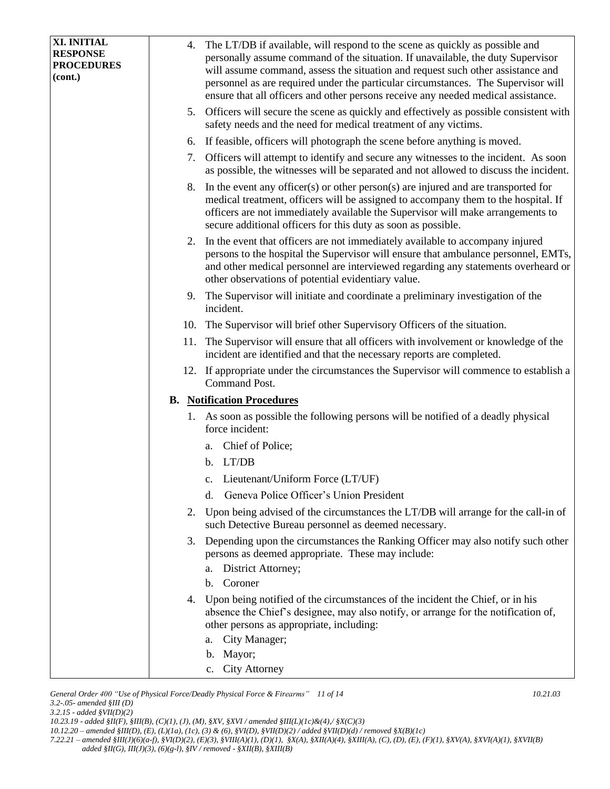| XI. INITIAL                  | 4. | The LT/DB if available, will respond to the scene as quickly as possible and                                                                                                                                                                                                                                                 |  |  |
|------------------------------|----|------------------------------------------------------------------------------------------------------------------------------------------------------------------------------------------------------------------------------------------------------------------------------------------------------------------------------|--|--|
| <b>RESPONSE</b>              |    | personally assume command of the situation. If unavailable, the duty Supervisor                                                                                                                                                                                                                                              |  |  |
| <b>PROCEDURES</b><br>(cont.) |    | will assume command, assess the situation and request such other assistance and                                                                                                                                                                                                                                              |  |  |
|                              |    | personnel as are required under the particular circumstances. The Supervisor will                                                                                                                                                                                                                                            |  |  |
|                              |    | ensure that all officers and other persons receive any needed medical assistance.                                                                                                                                                                                                                                            |  |  |
|                              |    | 5. Officers will secure the scene as quickly and effectively as possible consistent with                                                                                                                                                                                                                                     |  |  |
|                              |    | safety needs and the need for medical treatment of any victims.<br>If feasible, officers will photograph the scene before anything is moved.                                                                                                                                                                                 |  |  |
|                              | 6. |                                                                                                                                                                                                                                                                                                                              |  |  |
|                              | 7. | Officers will attempt to identify and secure any witnesses to the incident. As soon<br>as possible, the witnesses will be separated and not allowed to discuss the incident.                                                                                                                                                 |  |  |
|                              | 8. | In the event any officer(s) or other person(s) are injured and are transported for<br>medical treatment, officers will be assigned to accompany them to the hospital. If<br>officers are not immediately available the Supervisor will make arrangements to<br>secure additional officers for this duty as soon as possible. |  |  |
|                              |    | 2. In the event that officers are not immediately available to accompany injured<br>persons to the hospital the Supervisor will ensure that ambulance personnel, EMTs,<br>and other medical personnel are interviewed regarding any statements overheard or<br>other observations of potential evidentiary value.            |  |  |
|                              |    | 9. The Supervisor will initiate and coordinate a preliminary investigation of the<br>incident.                                                                                                                                                                                                                               |  |  |
|                              |    | 10. The Supervisor will brief other Supervisory Officers of the situation.                                                                                                                                                                                                                                                   |  |  |
|                              |    | 11. The Supervisor will ensure that all officers with involvement or knowledge of the<br>incident are identified and that the necessary reports are completed.                                                                                                                                                               |  |  |
|                              |    | 12. If appropriate under the circumstances the Supervisor will commence to establish a<br>Command Post.                                                                                                                                                                                                                      |  |  |
|                              |    | <b>B.</b> Notification Procedures                                                                                                                                                                                                                                                                                            |  |  |
|                              |    | 1. As soon as possible the following persons will be notified of a deadly physical                                                                                                                                                                                                                                           |  |  |
|                              |    | force incident:                                                                                                                                                                                                                                                                                                              |  |  |
|                              |    | Chief of Police;<br>a.                                                                                                                                                                                                                                                                                                       |  |  |
|                              |    | b. LT/DB                                                                                                                                                                                                                                                                                                                     |  |  |
|                              |    | c. Lieutenant/Uniform Force (LT/UF)                                                                                                                                                                                                                                                                                          |  |  |
|                              |    | Geneva Police Officer's Union President<br>d.                                                                                                                                                                                                                                                                                |  |  |
|                              |    |                                                                                                                                                                                                                                                                                                                              |  |  |
|                              | 2. | Upon being advised of the circumstances the LT/DB will arrange for the call-in of<br>such Detective Bureau personnel as deemed necessary.                                                                                                                                                                                    |  |  |
|                              |    | 3. Depending upon the circumstances the Ranking Officer may also notify such other<br>persons as deemed appropriate. These may include:<br>District Attorney;<br>a.                                                                                                                                                          |  |  |
|                              |    | b. Coroner                                                                                                                                                                                                                                                                                                                   |  |  |
|                              |    |                                                                                                                                                                                                                                                                                                                              |  |  |
|                              | 4. | Upon being notified of the circumstances of the incident the Chief, or in his<br>absence the Chief's designee, may also notify, or arrange for the notification of,<br>other persons as appropriate, including:                                                                                                              |  |  |
|                              |    | City Manager;<br>а.                                                                                                                                                                                                                                                                                                          |  |  |
|                              |    | b. Mayor;                                                                                                                                                                                                                                                                                                                    |  |  |
|                              |    | c. City Attorney                                                                                                                                                                                                                                                                                                             |  |  |
|                              |    |                                                                                                                                                                                                                                                                                                                              |  |  |

*General Order 400 "Use of Physical Force/Deadly Physical Force & Firearms" 11 of 14 10.21.03 3.2-.05- amended §III (D) 3.2.15 - added §VII(D)(2) 10.23.19 - added §II(F), §III(B), (C)(1), (J), (M), §XV, §XVI / amended §III(L)(1c)&(4),/ §X(C)(3)* 

*<sup>10.12.20 –</sup> amended §III(D), (E), (L)(1a), (1c), (3) & (6), §VI(D), §VII(D)(2) / added §VII(D)(d) / removed §X(B)(1c)*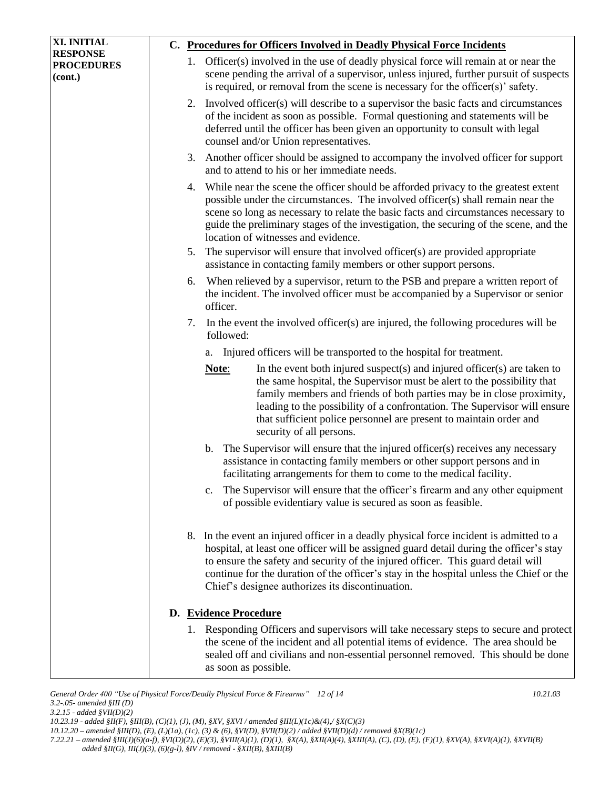| XI. INITIAL                                     | C. Procedures for Officers Involved in Deadly Physical Force Incidents |    |                       |                                                                                                                                                                                                                                                                                                                                                                                                                      |
|-------------------------------------------------|------------------------------------------------------------------------|----|-----------------------|----------------------------------------------------------------------------------------------------------------------------------------------------------------------------------------------------------------------------------------------------------------------------------------------------------------------------------------------------------------------------------------------------------------------|
| <b>RESPONSE</b><br><b>PROCEDURES</b><br>(cont.) |                                                                        |    |                       | 1. Officer(s) involved in the use of deadly physical force will remain at or near the<br>scene pending the arrival of a supervisor, unless injured, further pursuit of suspects<br>is required, or removal from the scene is necessary for the officer(s)' safety.                                                                                                                                                   |
|                                                 |                                                                        | 2. |                       | Involved officer(s) will describe to a supervisor the basic facts and circumstances<br>of the incident as soon as possible. Formal questioning and statements will be<br>deferred until the officer has been given an opportunity to consult with legal<br>counsel and/or Union representatives.                                                                                                                     |
|                                                 |                                                                        | 3. |                       | Another officer should be assigned to accompany the involved officer for support<br>and to attend to his or her immediate needs.                                                                                                                                                                                                                                                                                     |
|                                                 |                                                                        | 4. |                       | While near the scene the officer should be afforded privacy to the greatest extent<br>possible under the circumstances. The involved officer(s) shall remain near the<br>scene so long as necessary to relate the basic facts and circumstances necessary to<br>guide the preliminary stages of the investigation, the securing of the scene, and the<br>location of witnesses and evidence.                         |
|                                                 |                                                                        | 5. |                       | The supervisor will ensure that involved officer(s) are provided appropriate<br>assistance in contacting family members or other support persons.                                                                                                                                                                                                                                                                    |
|                                                 |                                                                        | 6. | officer.              | When relieved by a supervisor, return to the PSB and prepare a written report of<br>the incident. The involved officer must be accompanied by a Supervisor or senior                                                                                                                                                                                                                                                 |
|                                                 |                                                                        | 7. | followed:             | In the event the involved officer(s) are injured, the following procedures will be                                                                                                                                                                                                                                                                                                                                   |
|                                                 |                                                                        |    | a.                    | Injured officers will be transported to the hospital for treatment.                                                                                                                                                                                                                                                                                                                                                  |
|                                                 |                                                                        |    | Note:                 | In the event both injured suspect(s) and injured officer(s) are taken to<br>the same hospital, the Supervisor must be alert to the possibility that<br>family members and friends of both parties may be in close proximity,<br>leading to the possibility of a confrontation. The Supervisor will ensure<br>that sufficient police personnel are present to maintain order and<br>security of all persons.          |
|                                                 |                                                                        |    | $\mathbf{b}$ .        | The Supervisor will ensure that the injured officer(s) receives any necessary<br>assistance in contacting family members or other support persons and in<br>facilitating arrangements for them to come to the medical facility.                                                                                                                                                                                      |
|                                                 |                                                                        |    |                       | c. The Supervisor will ensure that the officer's firearm and any other equipment<br>of possible evidentiary value is secured as soon as feasible.                                                                                                                                                                                                                                                                    |
|                                                 |                                                                        |    |                       | 8. In the event an injured officer in a deadly physical force incident is admitted to a<br>hospital, at least one officer will be assigned guard detail during the officer's stay<br>to ensure the safety and security of the injured officer. This guard detail will<br>continue for the duration of the officer's stay in the hospital unless the Chief or the<br>Chief's designee authorizes its discontinuation. |
|                                                 |                                                                        |    | D. Evidence Procedure |                                                                                                                                                                                                                                                                                                                                                                                                                      |
|                                                 |                                                                        |    | as soon as possible.  | 1. Responding Officers and supervisors will take necessary steps to secure and protect<br>the scene of the incident and all potential items of evidence. The area should be<br>sealed off and civilians and non-essential personnel removed. This should be done                                                                                                                                                     |

 *added §II(G), III(J)(3), (6)(g-l), §IV / removed - §XII(B), §XIII(B)*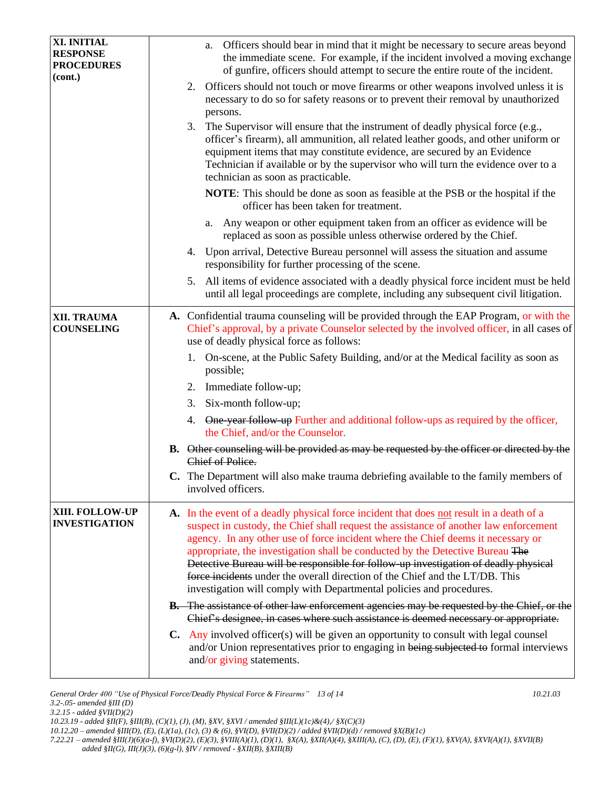| XI. INITIAL<br><b>RESPONSE</b><br><b>PROCEDURES</b> | Officers should bear in mind that it might be necessary to secure areas beyond<br>a.<br>the immediate scene. For example, if the incident involved a moving exchange<br>of gunfire, officers should attempt to secure the entire route of the incident.                                                                                                                                                                                                                                                                                                                                               |
|-----------------------------------------------------|-------------------------------------------------------------------------------------------------------------------------------------------------------------------------------------------------------------------------------------------------------------------------------------------------------------------------------------------------------------------------------------------------------------------------------------------------------------------------------------------------------------------------------------------------------------------------------------------------------|
| (cont.)                                             | Officers should not touch or move firearms or other weapons involved unless it is<br>2.<br>necessary to do so for safety reasons or to prevent their removal by unauthorized<br>persons.                                                                                                                                                                                                                                                                                                                                                                                                              |
|                                                     | 3.<br>The Supervisor will ensure that the instrument of deadly physical force (e.g.,<br>officer's firearm), all ammunition, all related leather goods, and other uniform or<br>equipment items that may constitute evidence, are secured by an Evidence<br>Technician if available or by the supervisor who will turn the evidence over to a<br>technician as soon as practicable.                                                                                                                                                                                                                    |
|                                                     | NOTE: This should be done as soon as feasible at the PSB or the hospital if the<br>officer has been taken for treatment.                                                                                                                                                                                                                                                                                                                                                                                                                                                                              |
|                                                     | Any weapon or other equipment taken from an officer as evidence will be<br>a.<br>replaced as soon as possible unless otherwise ordered by the Chief.                                                                                                                                                                                                                                                                                                                                                                                                                                                  |
|                                                     | 4. Upon arrival, Detective Bureau personnel will assess the situation and assume<br>responsibility for further processing of the scene.                                                                                                                                                                                                                                                                                                                                                                                                                                                               |
|                                                     | All items of evidence associated with a deadly physical force incident must be held<br>5.<br>until all legal proceedings are complete, including any subsequent civil litigation.                                                                                                                                                                                                                                                                                                                                                                                                                     |
| <b>XII. TRAUMA</b><br><b>COUNSELING</b>             | A. Confidential trauma counseling will be provided through the EAP Program, or with the<br>Chief's approval, by a private Counselor selected by the involved officer, in all cases of<br>use of deadly physical force as follows:                                                                                                                                                                                                                                                                                                                                                                     |
|                                                     | 1. On-scene, at the Public Safety Building, and/or at the Medical facility as soon as<br>possible;                                                                                                                                                                                                                                                                                                                                                                                                                                                                                                    |
|                                                     | Immediate follow-up;<br>2.                                                                                                                                                                                                                                                                                                                                                                                                                                                                                                                                                                            |
|                                                     | Six-month follow-up;<br>3.                                                                                                                                                                                                                                                                                                                                                                                                                                                                                                                                                                            |
|                                                     | 4. One-year follow-up Further and additional follow-ups as required by the officer,<br>the Chief, and/or the Counselor.                                                                                                                                                                                                                                                                                                                                                                                                                                                                               |
|                                                     | <b>B.</b> Other counseling will be provided as may be requested by the officer or directed by the<br>Chief of Police.                                                                                                                                                                                                                                                                                                                                                                                                                                                                                 |
|                                                     | C. The Department will also make trauma debriefing available to the family members of<br>involved officers.                                                                                                                                                                                                                                                                                                                                                                                                                                                                                           |
| XIII. FOLLOW-UP<br><b>INVESTIGATION</b>             | A. In the event of a deadly physical force incident that does not result in a death of a<br>suspect in custody, the Chief shall request the assistance of another law enforcement<br>agency. In any other use of force incident where the Chief deems it necessary or<br>appropriate, the investigation shall be conducted by the Detective Bureau The<br>Detective Bureau will be responsible for follow-up investigation of deadly physical<br>force incidents under the overall direction of the Chief and the LT/DB. This<br>investigation will comply with Departmental policies and procedures. |
|                                                     | <b>B.</b> The assistance of other law enforcement agencies may be requested by the Chief, or the<br>Chief's designee, in cases where such assistance is deemed necessary or appropriate.                                                                                                                                                                                                                                                                                                                                                                                                              |
|                                                     | <b>C.</b> Any involved officer(s) will be given an opportunity to consult with legal counsel<br>and/or Union representatives prior to engaging in being subjected to formal interviews<br>and/or giving statements.                                                                                                                                                                                                                                                                                                                                                                                   |

*General Order 400 "Use of Physical Force/Deadly Physical Force & Firearms" 13 of 14 10.21.03 3.2-.05- amended §III (D) 3.2.15 - added §VII(D)(2)*

*<sup>10.23.19 -</sup> added §II(F), §III(B), (C)(1), (J), (M), §XV, §XVI / amended §III(L)(1c)&(4),/ §X(C)(3)* 

*<sup>10.12.20 –</sup> amended §III(D), (E), (L)(1a), (1c), (3) & (6), §VI(D), §VII(D)(2) / added §VII(D)(d) / removed §X(B)(1c)*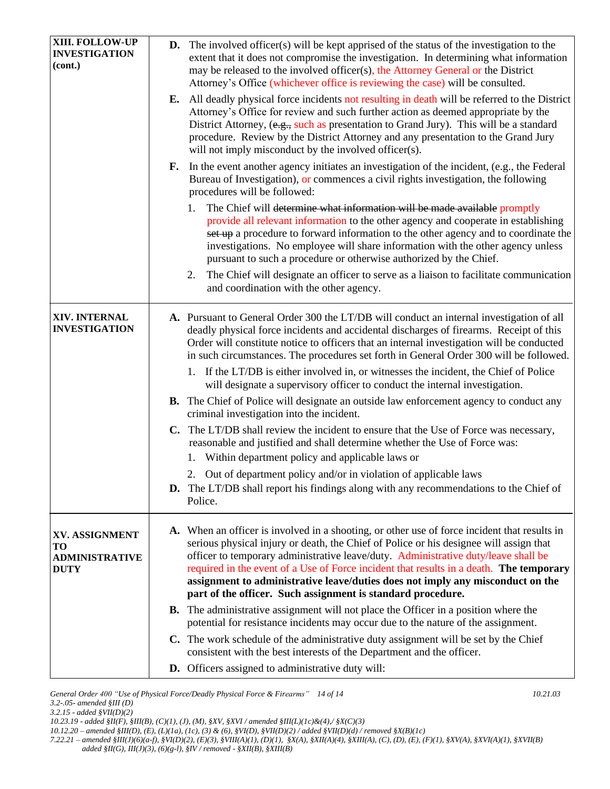| XIII. FOLLOW-UP<br><b>INVESTIGATION</b><br>(cont.)           | <b>D.</b> The involved officer(s) will be kept apprised of the status of the investigation to the<br>extent that it does not compromise the investigation. In determining what information<br>may be released to the involved officer(s), the Attorney General or the District<br>Attorney's Office (whichever office is reviewing the case) will be consulted.<br><b>E.</b> All deadly physical force incidents not resulting in death will be referred to the District<br>Attorney's Office for review and such further action as deemed appropriate by the<br>District Attorney, (e.g., such as presentation to Grand Jury). This will be a standard<br>procedure. Review by the District Attorney and any presentation to the Grand Jury<br>will not imply misconduct by the involved officer(s). |
|--------------------------------------------------------------|-------------------------------------------------------------------------------------------------------------------------------------------------------------------------------------------------------------------------------------------------------------------------------------------------------------------------------------------------------------------------------------------------------------------------------------------------------------------------------------------------------------------------------------------------------------------------------------------------------------------------------------------------------------------------------------------------------------------------------------------------------------------------------------------------------|
|                                                              | <b>F.</b> In the event another agency initiates an investigation of the incident, (e.g., the Federal<br>Bureau of Investigation), or commences a civil rights investigation, the following<br>procedures will be followed:<br>The Chief will determine what information will be made available promptly<br>1.                                                                                                                                                                                                                                                                                                                                                                                                                                                                                         |
|                                                              | provide all relevant information to the other agency and cooperate in establishing<br>set up a procedure to forward information to the other agency and to coordinate the<br>investigations. No employee will share information with the other agency unless<br>pursuant to such a procedure or otherwise authorized by the Chief.                                                                                                                                                                                                                                                                                                                                                                                                                                                                    |
|                                                              | The Chief will designate an officer to serve as a liaison to facilitate communication<br>2.<br>and coordination with the other agency.                                                                                                                                                                                                                                                                                                                                                                                                                                                                                                                                                                                                                                                                |
| XIV. INTERNAL<br><b>INVESTIGATION</b>                        | A. Pursuant to General Order 300 the LT/DB will conduct an internal investigation of all<br>deadly physical force incidents and accidental discharges of firearms. Receipt of this<br>Order will constitute notice to officers that an internal investigation will be conducted<br>in such circumstances. The procedures set forth in General Order 300 will be followed.                                                                                                                                                                                                                                                                                                                                                                                                                             |
|                                                              | 1. If the LT/DB is either involved in, or witnesses the incident, the Chief of Police<br>will designate a supervisory officer to conduct the internal investigation.                                                                                                                                                                                                                                                                                                                                                                                                                                                                                                                                                                                                                                  |
|                                                              | <b>B.</b> The Chief of Police will designate an outside law enforcement agency to conduct any<br>criminal investigation into the incident.                                                                                                                                                                                                                                                                                                                                                                                                                                                                                                                                                                                                                                                            |
|                                                              | C. The LT/DB shall review the incident to ensure that the Use of Force was necessary,<br>reasonable and justified and shall determine whether the Use of Force was:<br>Within department policy and applicable laws or<br>1.                                                                                                                                                                                                                                                                                                                                                                                                                                                                                                                                                                          |
|                                                              | 2. Out of department policy and/or in violation of applicable laws<br><b>D.</b> The LT/DB shall report his findings along with any recommendations to the Chief of<br>Police.                                                                                                                                                                                                                                                                                                                                                                                                                                                                                                                                                                                                                         |
| XV. ASSIGNMENT<br>TО<br><b>ADMINISTRATIVE</b><br><b>DUTY</b> | A. When an officer is involved in a shooting, or other use of force incident that results in<br>serious physical injury or death, the Chief of Police or his designee will assign that<br>officer to temporary administrative leave/duty. Administrative duty/leave shall be<br>required in the event of a Use of Force incident that results in a death. The temporary<br>assignment to administrative leave/duties does not imply any misconduct on the<br>part of the officer. Such assignment is standard procedure.                                                                                                                                                                                                                                                                              |
|                                                              | <b>B.</b> The administrative assignment will not place the Officer in a position where the<br>potential for resistance incidents may occur due to the nature of the assignment.                                                                                                                                                                                                                                                                                                                                                                                                                                                                                                                                                                                                                       |
|                                                              | C. The work schedule of the administrative duty assignment will be set by the Chief<br>consistent with the best interests of the Department and the officer.                                                                                                                                                                                                                                                                                                                                                                                                                                                                                                                                                                                                                                          |
|                                                              | D. Officers assigned to administrative duty will:                                                                                                                                                                                                                                                                                                                                                                                                                                                                                                                                                                                                                                                                                                                                                     |

*General Order 400 "Use of Physical Force/Deadly Physical Force & Firearms" 14 of 14* 10.21.03 **10.21.03** *3.2-.05- amended §III (D)* 

*3.2.15 - added §VII(D)(2)*

*10.12.20 – amended §III(D), (E), (L)(1a), (1c), (3) & (6), §VI(D), §VII(D)(2) / added §VII(D)(d) / removed §X(B)(1c)*

*<sup>10.23.19 -</sup> added §II(F), §III(B), (C)(1), (J), (M), §XV, §XVI / amended §III(L)(1c)&(4),/ §X(C)(3)*